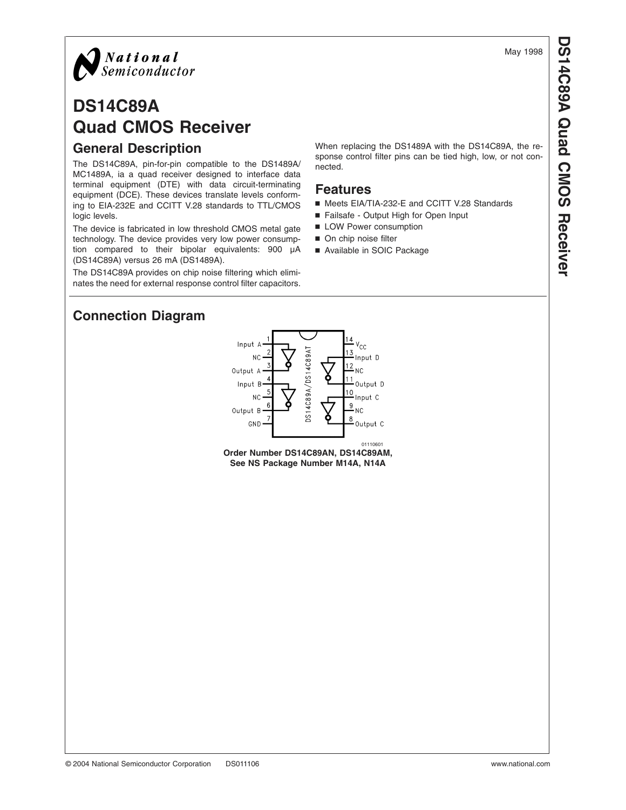

# **DS14C89A Quad CMOS Receiver General Description**

The DS14C89A, pin-for-pin compatible to the DS1489A/ MC1489A, ia a quad receiver designed to interface data terminal equipment (DTE) with data circuit-terminating equipment (DCE). These devices translate levels conforming to EIA-232E and CCITT V.28 standards to TTL/CMOS logic levels.

The device is fabricated in low threshold CMOS metal gate technology. The device provides very low power consumption compared to their bipolar equivalents: 900 µA (DS14C89A) versus 26 mA (DS1489A).

The DS14C89A provides on chip noise filtering which eliminates the need for external response control filter capacitors. When replacing the DS1489A with the DS14C89A, the response control filter pins can be tied high, low, or not connected.

### **Features**

- Meets EIA/TIA-232-E and CCITT V.28 Standards
- Failsafe Output High for Open Input
- **LOW Power consumption**
- On chip noise filter
- Available in SOIC Package

## **Connection Diagram**



**Order Number DS14C89AN, DS14C89AM, See NS Package Number M14A, N14A**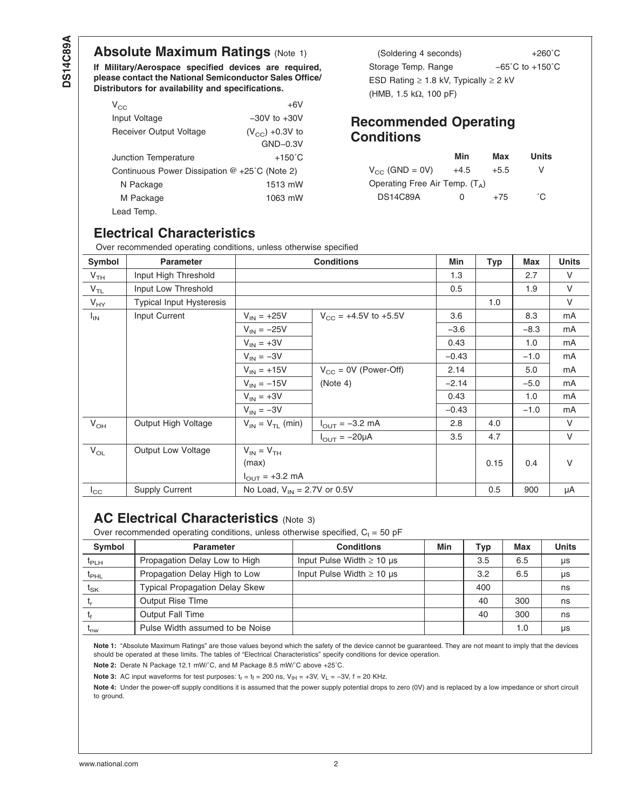## <span id="page-1-0"></span>**Absolute Maximum Ratings (Note 1)**

**If Military/Aerospace specified devices are required, please contact the National Semiconductor Sales Office/ Distributors for availability and specifications.**

| $V_{CC}$                                                | $+6V$               |
|---------------------------------------------------------|---------------------|
| Input Voltage                                           | $-30V$ to $+30V$    |
| Receiver Output Voltage                                 | $(V_{CC}) +0.3V$ to |
|                                                         | $GND-0.3V$          |
| <b>Junction Temperature</b>                             | $+150^{\circ}$ C    |
| Continuous Power Dissipation $@ + 25^{\circ}C$ (Note 2) |                     |
| N Package                                               | 1513 mW             |
| M Package                                               | 1063 mW             |
| Lead Temp.                                              |                     |

(Soldering 4 seconds) +260˚C Storage Temp. Range  $-65^{\circ}$ C to +150°C ESD Rating  $\geq 1.8$  kV, Typically  $\geq 2$  kV (HMB, 1.5 kΩ, 100 pF)

### **Recommended Operating Conditions**

|                                  | Min      | Max    | Units |
|----------------------------------|----------|--------|-------|
| $V_{CC}$ (GND = 0V)              | $+4.5$   | $+5.5$ | V     |
| Operating Free Air Temp. $(T_A)$ |          |        |       |
| <b>DS14C89A</b>                  | $\Omega$ | $+75$  | °C.   |

## **Electrical Characteristics**

Over recommended operating conditions, unless otherwise specified

| Over recommended operating conditions, unless otherwise specified |                                 |                                    |                                    |         |      |        |              |
|-------------------------------------------------------------------|---------------------------------|------------------------------------|------------------------------------|---------|------|--------|--------------|
| Symbol                                                            | <b>Parameter</b>                |                                    | <b>Conditions</b>                  | Min     | Typ  | Max    | <b>Units</b> |
| V <sub>TH</sub>                                                   | Input High Threshold            |                                    |                                    | 1.3     |      | 2.7    | $\vee$       |
| $V_{TL}$                                                          | Input Low Threshold             |                                    |                                    | 0.5     |      | 1.9    | V            |
| $V_{HY}$                                                          | <b>Typical Input Hysteresis</b> |                                    |                                    |         | 1.0  |        | $\vee$       |
| $I_{IN}$                                                          | Input Current                   | $V_{IN} = +25V$                    | $V_{CC}$ = +4.5V to +5.5V          | 3.6     |      | 8.3    | mA           |
|                                                                   |                                 | $V_{IN} = -25V$                    |                                    | $-3.6$  |      | $-8.3$ | mA           |
|                                                                   |                                 | $V_{IN} = +3V$                     |                                    | 0.43    |      | 1.0    | mA           |
|                                                                   |                                 | $V_{IN} = -3V$                     |                                    | $-0.43$ |      | $-1.0$ | mA           |
|                                                                   |                                 | $V_{IN} = +15V$                    | $V_{CC} = 0V$ (Power-Off)          | 2.14    |      | 5.0    | mA           |
|                                                                   |                                 | $V_{IN} = -15V$                    | (Note 4)                           | $-2.14$ |      | $-5.0$ | mA           |
|                                                                   |                                 | $V_{IN} = +3V$                     |                                    | 0.43    |      | 1.0    | mA           |
|                                                                   |                                 | $V_{IN} = -3V$                     |                                    | $-0.43$ |      | $-1.0$ | mA           |
| $V_{OH}$                                                          | Output High Voltage             | $V_{IN} = V_{TL}$ (min)            | $I_{\text{OUT}} = -3.2 \text{ mA}$ | 2.8     | 4.0  |        | $\vee$       |
|                                                                   |                                 |                                    | $I_{\text{OUT}} = -20\mu A$        | 3.5     | 4.7  |        | V            |
| $V_{OL}$                                                          | <b>Output Low Voltage</b>       | $V_{IN} = V_{TH}$                  |                                    |         |      |        |              |
|                                                                   |                                 | (max)                              |                                    |         | 0.15 | 0.4    | V            |
|                                                                   |                                 | $I_{\text{OUT}} = +3.2 \text{ mA}$ |                                    |         |      |        |              |
| $I_{\rm CC}$                                                      | <b>Supply Current</b>           | No Load, $V_{IN} = 2.7V$ or 0.5V   |                                    |         | 0.5  | 900    | μA           |

## **AC Electrical Characteristics (Note 3)**

Over recommended operating conditions, unless otherwise specified,  $C_1 = 50$  pF

| <b>Symbol</b>               | <b>Parameter</b>                      | <b>Conditions</b>              | Min | Typ | Max | <b>Units</b> |
|-----------------------------|---------------------------------------|--------------------------------|-----|-----|-----|--------------|
| $\mathrm{t}_{\mathsf{PLH}}$ | Propagation Delay Low to High         | Input Pulse Width $\geq 10$ µs |     | 3.5 | 6.5 | <b>US</b>    |
| $t_{\text{PHL}}$            | Propagation Delay High to Low         | Input Pulse Width $\geq 10$ µs |     | 3.2 | 6.5 | μs           |
| $t_{SK}$                    | <b>Typical Propagation Delay Skew</b> |                                |     | 400 |     | ns           |
|                             | <b>Output Rise TIme</b>               |                                |     | 40  | 300 | ns           |
|                             | <b>Output Fall Time</b>               |                                |     | 40  | 300 | ns           |
| m <sub>w</sub>              | Pulse Width assumed to be Noise       |                                |     |     | 1.0 | us           |

**Note 1:** "Absolute Maximum Ratings" are those values beyond which the safety of the device cannot be guaranteed. They are not meant to imply that the devices should be operated at these limits. The tables of "Electrical Characteristics" specify conditions for device operation.

**Note 2:** Derate N Package 12.1 mW/˚C, and M Package 8.5 mW/˚C above +25˚C.

**Note 3:** AC input waveforms for test purposes:  $t_r = t_f = 200$  ns,  $V_{\text{IH}} = +3V$ ,  $V_L = -3V$ ,  $f = 20$  KHz.

Note 4: Under the power-off supply conditions it is assumed that the power supply potential drops to zero (0V) and is replaced by a low impedance or short circuit to ground.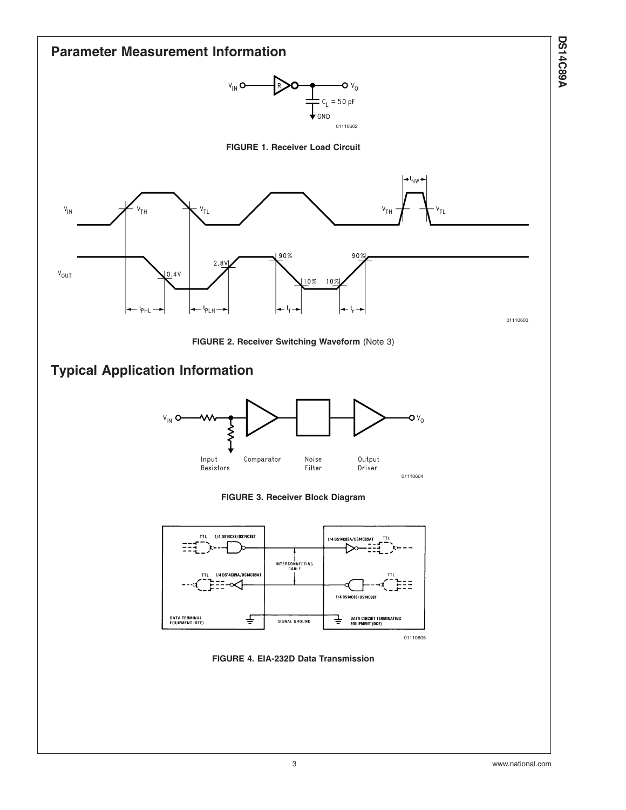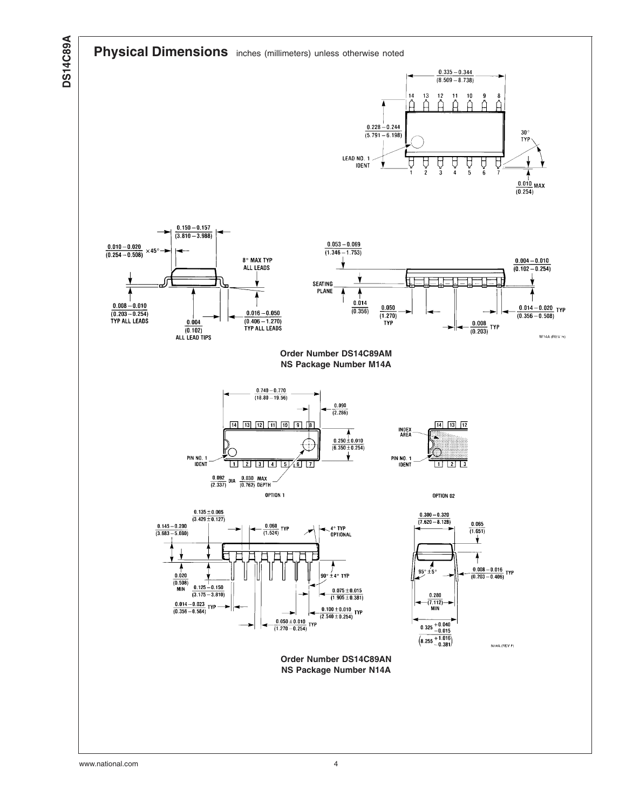